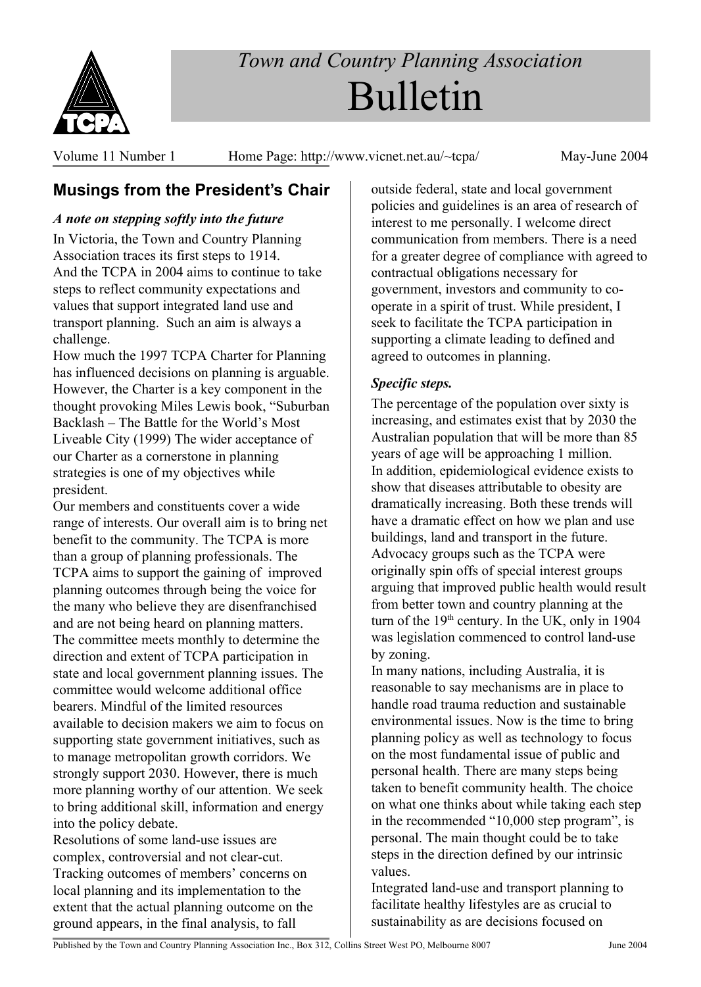

# *Town and Country Planning Association* Bulletin

Volume 11 Number 1 Home Page: http://www.vicnet.net.au/~tcpa/ May-June 2004

# **Musings from the President's Chair**

## *A note on stepping softly into the future*

In Victoria, the Town and Country Planning Association traces its first steps to 1914. And the TCPA in 2004 aims to continue to take steps to reflect community expectations and values that support integrated land use and transport planning. Such an aim is always a challenge.

How much the 1997 TCPA Charter for Planning has influenced decisions on planning is arguable. However, the Charter is a key component in the thought provoking Miles Lewis book, "Suburban Backlash – The Battle for the World's Most Liveable City (1999) The wider acceptance of our Charter as a cornerstone in planning strategies is one of my objectives while president.

Our members and constituents cover a wide range of interests. Our overall aim is to bring net benefit to the community. The TCPA is more than a group of planning professionals. The TCPA aims to support the gaining of improved planning outcomes through being the voice for the many who believe they are disenfranchised and are not being heard on planning matters. The committee meets monthly to determine the direction and extent of TCPA participation in state and local government planning issues. The committee would welcome additional office bearers. Mindful of the limited resources available to decision makers we aim to focus on supporting state government initiatives, such as to manage metropolitan growth corridors. We strongly support 2030. However, there is much more planning worthy of our attention. We seek to bring additional skill, information and energy into the policy debate.

Resolutions of some land-use issues are complex, controversial and not clear-cut. Tracking outcomes of members' concerns on local planning and its implementation to the extent that the actual planning outcome on the ground appears, in the final analysis, to fall

outside federal, state and local government policies and guidelines is an area of research of interest to me personally. I welcome direct communication from members. There is a need for a greater degree of compliance with agreed to contractual obligations necessary for government, investors and community to cooperate in a spirit of trust. While president, I seek to facilitate the TCPA participation in supporting a climate leading to defined and agreed to outcomes in planning.

# *Specific steps.*

The percentage of the population over sixty is increasing, and estimates exist that by 2030 the Australian population that will be more than 85 years of age will be approaching 1 million. In addition, epidemiological evidence exists to show that diseases attributable to obesity are dramatically increasing. Both these trends will have a dramatic effect on how we plan and use buildings, land and transport in the future. Advocacy groups such as the TCPA were originally spin offs of special interest groups arguing that improved public health would result from better town and country planning at the turn of the  $19<sup>th</sup>$  century. In the UK, only in 1904 was legislation commenced to control land-use by zoning.

In many nations, including Australia, it is reasonable to say mechanisms are in place to handle road trauma reduction and sustainable environmental issues. Now is the time to bring planning policy as well as technology to focus on the most fundamental issue of public and personal health. There are many steps being taken to benefit community health. The choice on what one thinks about while taking each step in the recommended "10,000 step program", is personal. The main thought could be to take steps in the direction defined by our intrinsic values.

Integrated land-use and transport planning to facilitate healthy lifestyles are as crucial to sustainability as are decisions focused on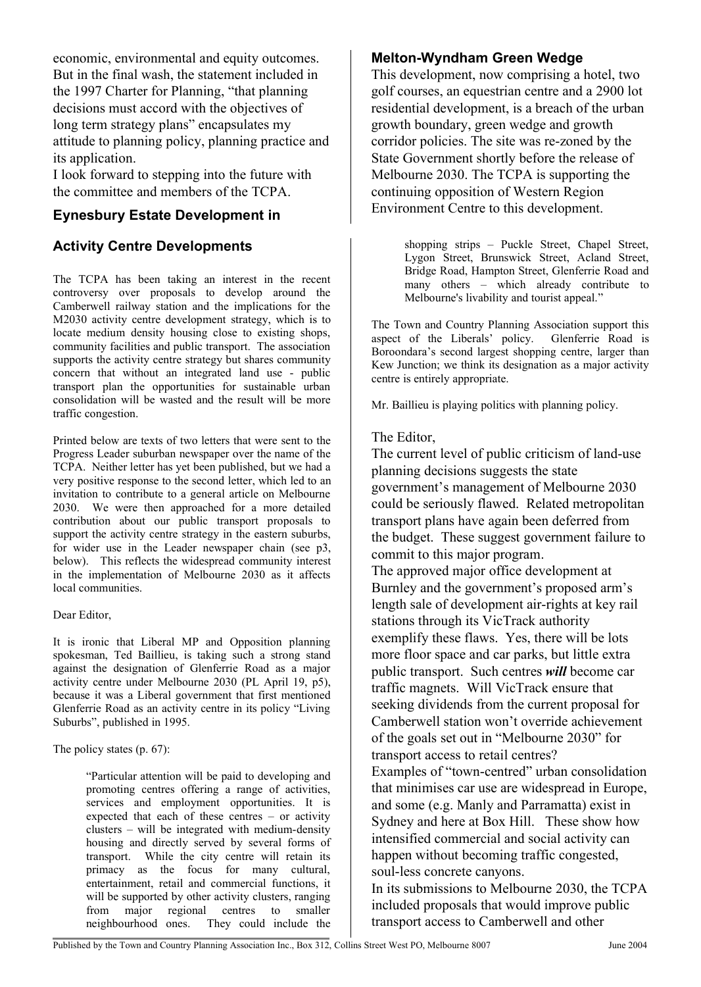economic, environmental and equity outcomes. But in the final wash, the statement included in the 1997 Charter for Planning, "that planning decisions must accord with the objectives of long term strategy plans" encapsulates my attitude to planning policy, planning practice and its application.

I look forward to stepping into the future with the committee and members of the TCPA.

## **Eynesbury Estate Development in**

## **Activity Centre Developments**

The TCPA has been taking an interest in the recent controversy over proposals to develop around the Camberwell railway station and the implications for the M2030 activity centre development strategy, which is to locate medium density housing close to existing shops, community facilities and public transport. The association supports the activity centre strategy but shares community concern that without an integrated land use - public transport plan the opportunities for sustainable urban consolidation will be wasted and the result will be more traffic congestion.

Printed below are texts of two letters that were sent to the Progress Leader suburban newspaper over the name of the TCPA. Neither letter has yet been published, but we had a very positive response to the second letter, which led to an invitation to contribute to a general article on Melbourne 2030. We were then approached for a more detailed contribution about our public transport proposals to support the activity centre strategy in the eastern suburbs, for wider use in the Leader newspaper chain (see p3, below). This reflects the widespread community interest in the implementation of Melbourne 2030 as it affects local communities.

#### Dear Editor,

It is ironic that Liberal MP and Opposition planning spokesman, Ted Baillieu, is taking such a strong stand against the designation of Glenferrie Road as a major activity centre under Melbourne 2030 (PL April 19, p5), because it was a Liberal government that first mentioned Glenferrie Road as an activity centre in its policy "Living Suburbs", published in 1995.

The policy states (p. 67):

"Particular attention will be paid to developing and promoting centres offering a range of activities, services and employment opportunities. It is expected that each of these centres – or activity clusters – will be integrated with medium-density housing and directly served by several forms of transport. While the city centre will retain its primacy as the focus for many cultural, entertainment, retail and commercial functions, it will be supported by other activity clusters, ranging from major regional centres to smaller neighbourhood ones. They could include the

## **Melton-Wyndham Green Wedge**

This development, now comprising a hotel, two golf courses, an equestrian centre and a 2900 lot residential development, is a breach of the urban growth boundary, green wedge and growth corridor policies. The site was re-zoned by the State Government shortly before the release of Melbourne 2030. The TCPA is supporting the continuing opposition of Western Region Environment Centre to this development.

> shopping strips – Puckle Street, Chapel Street, Lygon Street, Brunswick Street, Acland Street, Bridge Road, Hampton Street, Glenferrie Road and many others – which already contribute to Melbourne's livability and tourist appeal."

The Town and Country Planning Association support this aspect of the Liberals' policy. Glenferrie Road is Boroondara's second largest shopping centre, larger than Kew Junction; we think its designation as a major activity centre is entirely appropriate.

Mr. Baillieu is playing politics with planning policy.

## The Editor,

The current level of public criticism of land-use planning decisions suggests the state government's management of Melbourne 2030 could be seriously flawed. Related metropolitan transport plans have again been deferred from the budget. These suggest government failure to commit to this major program.

The approved major office development at Burnley and the government's proposed arm's length sale of development air-rights at key rail stations through its VicTrack authority exemplify these flaws. Yes, there will be lots more floor space and car parks, but little extra public transport. Such centres *will* become car traffic magnets. Will VicTrack ensure that seeking dividends from the current proposal for Camberwell station won't override achievement of the goals set out in "Melbourne 2030" for transport access to retail centres? Examples of "town-centred" urban consolidation that minimises car use are widespread in Europe, and some (e.g. Manly and Parramatta) exist in

Sydney and here at Box Hill. These show how intensified commercial and social activity can happen without becoming traffic congested, soul-less concrete canyons.

In its submissions to Melbourne 2030, the TCPA included proposals that would improve public transport access to Camberwell and other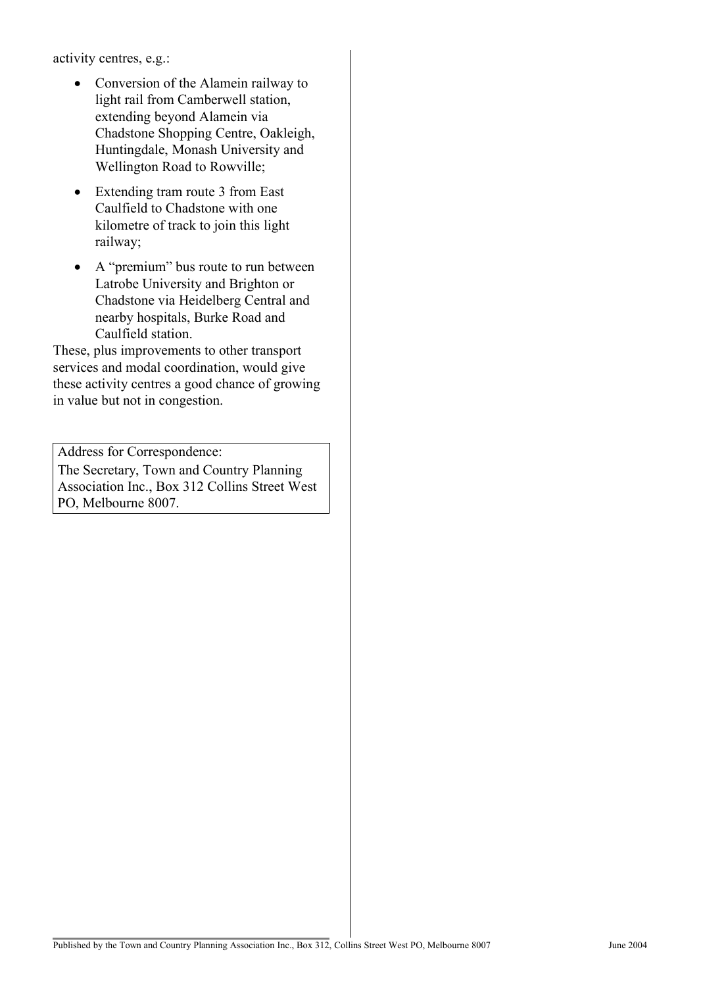activity centres, e.g.:

- Conversion of the Alamein railway to light rail from Camberwell station, extending beyond Alamein via Chadstone Shopping Centre, Oakleigh, Huntingdale, Monash University and Wellington Road to Rowville;
- Extending tram route 3 from East Caulfield to Chadstone with one kilometre of track to join this light railway;
- A "premium" bus route to run between Latrobe University and Brighton or Chadstone via Heidelberg Central and nearby hospitals, Burke Road and Caulfield station.

These, plus improvements to other transport services and modal coordination, would give these activity centres a good chance of growing in value but not in congestion.

Address for Correspondence: The Secretary, Town and Country Planning Association Inc., Box 312 Collins Street West PO, Melbourne 8007.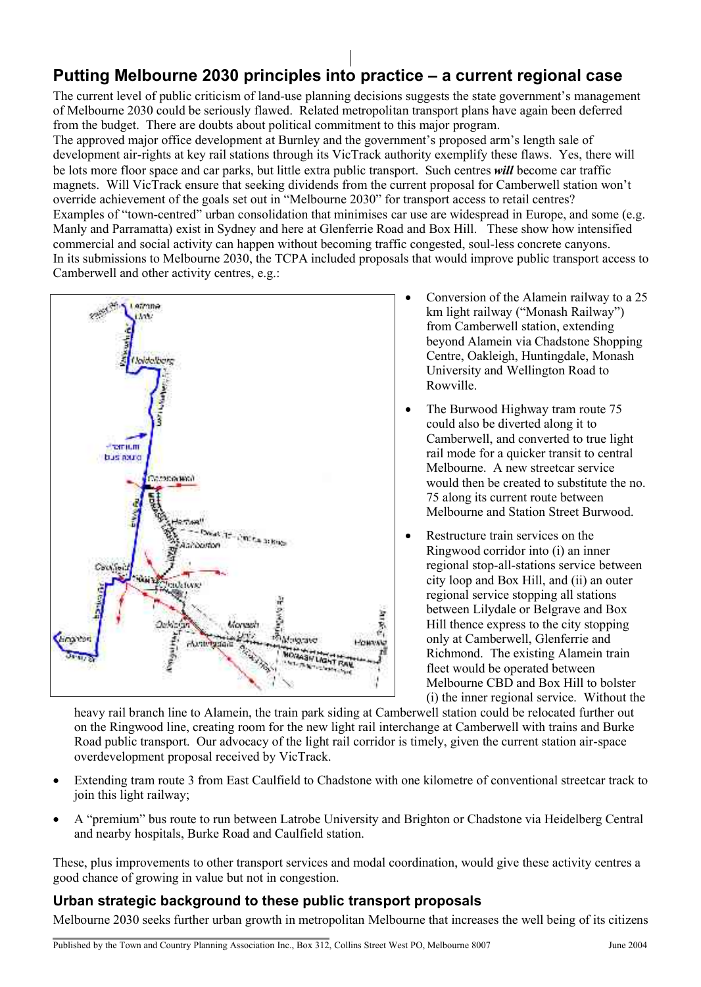# **Putting Melbourne 2030 principles into practice – a current regional case**

The current level of public criticism of land-use planning decisions suggests the state government's management of Melbourne 2030 could be seriously flawed. Related metropolitan transport plans have again been deferred from the budget. There are doubts about political commitment to this major program.

The approved major office development at Burnley and the government's proposed arm's length sale of development air-rights at key rail stations through its VicTrack authority exemplify these flaws. Yes, there will be lots more floor space and car parks, but little extra public transport. Such centres *will* become car traffic magnets. Will VicTrack ensure that seeking dividends from the current proposal for Camberwell station won't override achievement of the goals set out in "Melbourne 2030" for transport access to retail centres? Examples of "town-centred" urban consolidation that minimises car use are widespread in Europe, and some (e.g. Manly and Parramatta) exist in Sydney and here at Glenferrie Road and Box Hill. These show how intensified commercial and social activity can happen without becoming traffic congested, soul-less concrete canyons. In its submissions to Melbourne 2030, the TCPA included proposals that would improve public transport access to Camberwell and other activity centres, e.g.:



- Conversion of the Alamein railway to a 25 km light railway ("Monash Railway") from Camberwell station, extending beyond Alamein via Chadstone Shopping Centre, Oakleigh, Huntingdale, Monash University and Wellington Road to Rowville.
- The Burwood Highway tram route 75 could also be diverted along it to Camberwell, and converted to true light rail mode for a quicker transit to central Melbourne. A new streetcar service would then be created to substitute the no. 75 along its current route between Melbourne and Station Street Burwood.
- Restructure train services on the Ringwood corridor into (i) an inner regional stop-all-stations service between city loop and Box Hill, and (ii) an outer regional service stopping all stations between Lilydale or Belgrave and Box Hill thence express to the city stopping only at Camberwell, Glenferrie and Richmond. The existing Alamein train fleet would be operated between Melbourne CBD and Box Hill to bolster (i) the inner regional service. Without the

heavy rail branch line to Alamein, the train park siding at Camberwell station could be relocated further out on the Ringwood line, creating room for the new light rail interchange at Camberwell with trains and Burke Road public transport. Our advocacy of the light rail corridor is timely, given the current station air-space overdevelopment proposal received by VicTrack.

- Extending tram route 3 from East Caulfield to Chadstone with one kilometre of conventional streetcar track to join this light railway;
- A "premium" bus route to run between Latrobe University and Brighton or Chadstone via Heidelberg Central and nearby hospitals, Burke Road and Caulfield station.

These, plus improvements to other transport services and modal coordination, would give these activity centres a good chance of growing in value but not in congestion.

## **Urban strategic background to these public transport proposals**

Melbourne 2030 seeks further urban growth in metropolitan Melbourne that increases the well being of its citizens